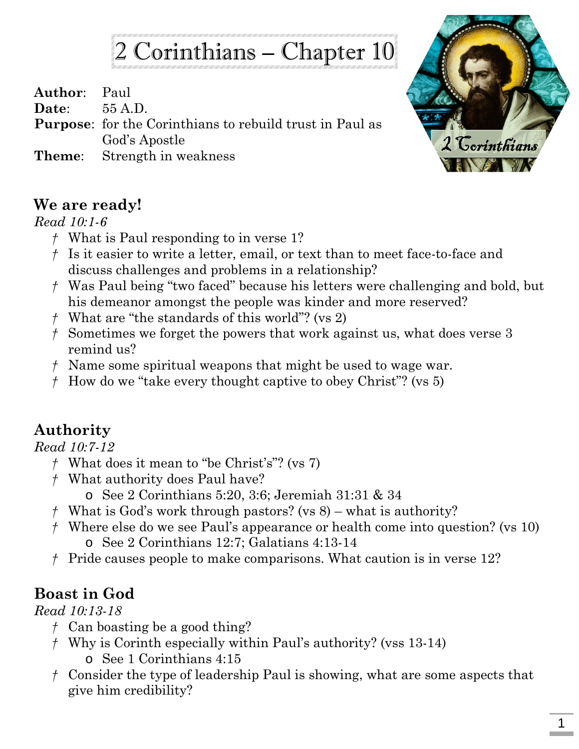# 2 Corinthians – Chapter 10

**Author**: Paul **Date**: 55 A.D.

- **Purpose**: for the Corinthians to rebuild trust in Paul as God's Apostle
- **Theme**: Strength in weakness



## **We are ready!**

#### *Read 10:1-6*

- *†* What is Paul responding to in verse 1?
- *†* Is it easier to write a letter, email, or text than to meet face-to-face and discuss challenges and problems in a relationship?
- *†* Was Paul being "two faced" because his letters were challenging and bold, but his demeanor amongst the people was kinder and more reserved?
- *†* What are "the standards of this world"? (vs 2)
- *†* Sometimes we forget the powers that work against us, what does verse 3 remind us?
- *†* Name some spiritual weapons that might be used to wage war.
- *†* How do we "take every thought captive to obey Christ"? (vs 5)

## **Authority**

## *Read 10:7-12*

- *†* What does it mean to "be Christ's"? (vs 7)
- *†* What authority does Paul have?
	- o See 2 Corinthians 5:20, 3:6; Jeremiah 31:31 & 34
- *†* What is God's work through pastors? (vs 8) what is authority?
- *†* Where else do we see Paul's appearance or health come into question? (vs 10) o See 2 Corinthians 12:7; Galatians 4:13-14
- *†* Pride causes people to make comparisons. What caution is in verse 12?

## **Boast in God**

## *Read 10:13-18*

- *†* Can boasting be a good thing?
- *†* Why is Corinth especially within Paul's authority? (vss 13-14) o See 1 Corinthians 4:15
- *†* Consider the type of leadership Paul is showing, what are some aspects that give him credibility?